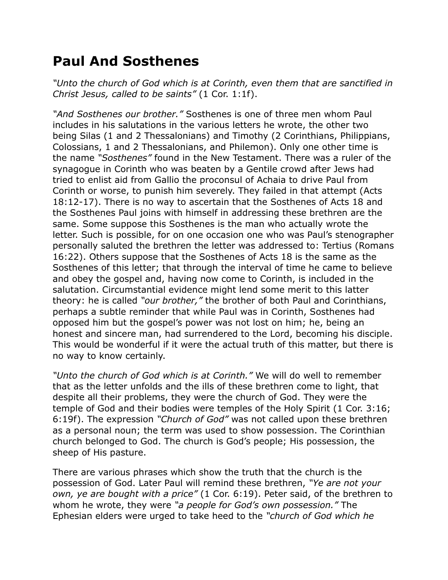## **Paul And Sosthenes**

*"Unto the church of God which is at Corinth, even them that are sanctified in Christ Jesus, called to be saints"* (1 Cor. 1:1f).

*"And Sosthenes our brother."* Sosthenes is one of three men whom Paul includes in his salutations in the various letters he wrote, the other two being Silas (1 and 2 Thessalonians) and Timothy (2 Corinthians, Philippians, Colossians, 1 and 2 Thessalonians, and Philemon). Only one other time is the name *"Sosthenes"* found in the New Testament. There was a ruler of the synagogue in Corinth who was beaten by a Gentile crowd after Jews had tried to enlist aid from Gallio the proconsul of Achaia to drive Paul from Corinth or worse, to punish him severely. They failed in that attempt (Acts 18:12-17). There is no way to ascertain that the Sosthenes of Acts 18 and the Sosthenes Paul joins with himself in addressing these brethren are the same. Some suppose this Sosthenes is the man who actually wrote the letter. Such is possible, for on one occasion one who was Paul's stenographer personally saluted the brethren the letter was addressed to: Tertius (Romans 16:22). Others suppose that the Sosthenes of Acts 18 is the same as the Sosthenes of this letter; that through the interval of time he came to believe and obey the gospel and, having now come to Corinth, is included in the salutation. Circumstantial evidence might lend some merit to this latter theory: he is called *"our brother,"* the brother of both Paul and Corinthians, perhaps a subtle reminder that while Paul was in Corinth, Sosthenes had opposed him but the gospel's power was not lost on him; he, being an honest and sincere man, had surrendered to the Lord, becoming his disciple. This would be wonderful if it were the actual truth of this matter, but there is no way to know certainly.

*"Unto the church of God which is at Corinth."* We will do well to remember that as the letter unfolds and the ills of these brethren come to light, that despite all their problems, they were the church of God. They were the temple of God and their bodies were temples of the Holy Spirit (1 Cor. 3:16; 6:19f). The expression *"Church of God"* was not called upon these brethren as a personal noun; the term was used to show possession. The Corinthian church belonged to God. The church is God's people; His possession, the sheep of His pasture.

There are various phrases which show the truth that the church is the possession of God. Later Paul will remind these brethren, *"Ye are not your own, ye are bought with a price"* (1 Cor. 6:19). Peter said, of the brethren to whom he wrote, they were *"a people for God's own possession."* The Ephesian elders were urged to take heed to the *"church of God which he*